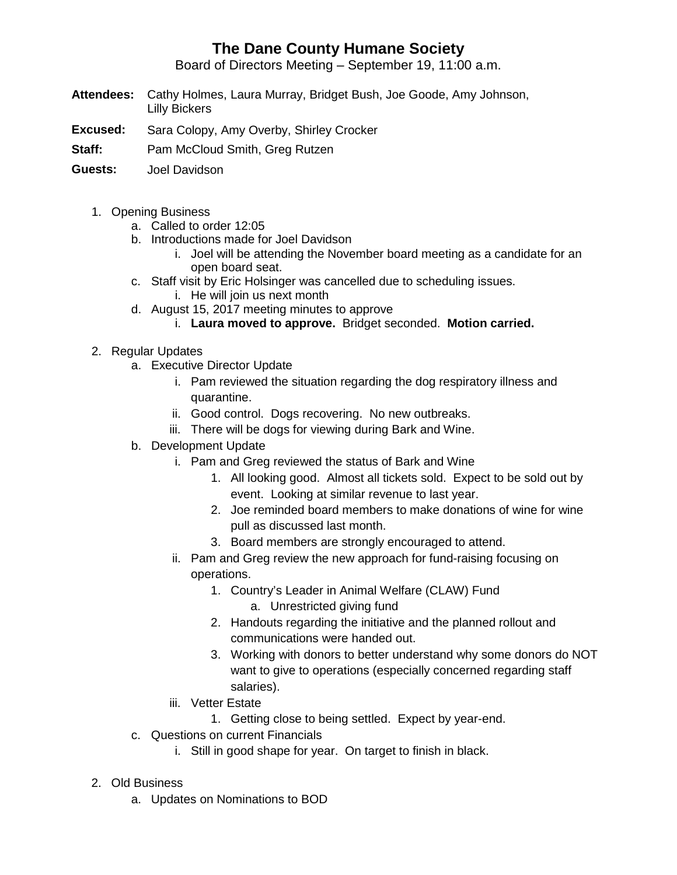## **The Dane County Humane Society**

Board of Directors Meeting – September 19, 11:00 a.m.

- **Attendees:** Cathy Holmes, Laura Murray, Bridget Bush, Joe Goode, Amy Johnson, Lilly Bickers
- **Excused:** Sara Colopy, Amy Overby, Shirley Crocker
- **Staff:** Pam McCloud Smith, Greg Rutzen
- **Guests:** Joel Davidson
	- 1. Opening Business
		- a. Called to order 12:05
		- b. Introductions made for Joel Davidson
			- i. Joel will be attending the November board meeting as a candidate for an open board seat.
		- c. Staff visit by Eric Holsinger was cancelled due to scheduling issues.
			- i. He will join us next month
		- d. August 15, 2017 meeting minutes to approve
			- i. **Laura moved to approve.** Bridget seconded. **Motion carried.**
	- 2. Regular Updates
		- a. Executive Director Update
			- i. Pam reviewed the situation regarding the dog respiratory illness and quarantine.
			- ii. Good control. Dogs recovering. No new outbreaks.
			- iii. There will be dogs for viewing during Bark and Wine.
		- b. Development Update
			- i. Pam and Greg reviewed the status of Bark and Wine
				- 1. All looking good. Almost all tickets sold. Expect to be sold out by event. Looking at similar revenue to last year.
				- 2. Joe reminded board members to make donations of wine for wine pull as discussed last month.
				- 3. Board members are strongly encouraged to attend.
			- ii. Pam and Greg review the new approach for fund-raising focusing on operations.
				- 1. Country's Leader in Animal Welfare (CLAW) Fund
					- a. Unrestricted giving fund
				- 2. Handouts regarding the initiative and the planned rollout and communications were handed out.
				- 3. Working with donors to better understand why some donors do NOT want to give to operations (especially concerned regarding staff salaries).
			- iii. Vetter Estate
				- 1. Getting close to being settled. Expect by year-end.
		- c. Questions on current Financials
			- i. Still in good shape for year. On target to finish in black.
	- 2. Old Business
		- a. Updates on Nominations to BOD